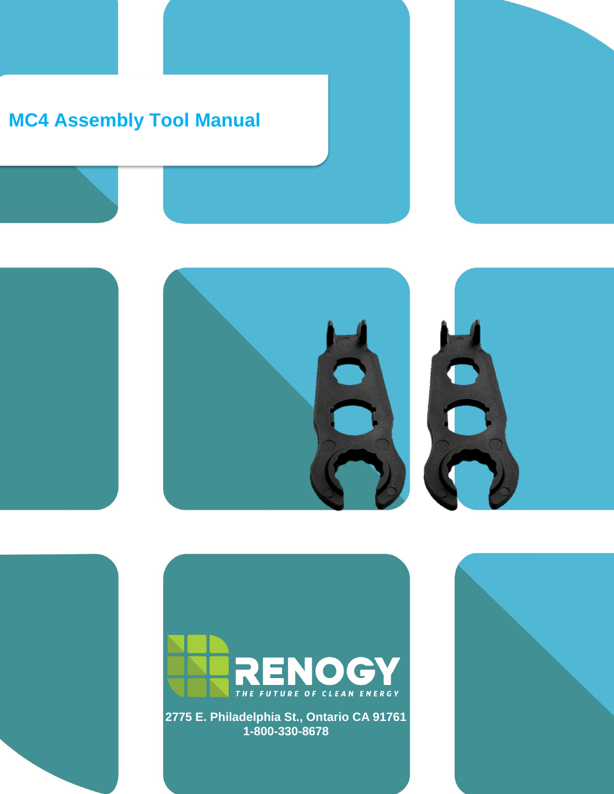# **MC4 Assembly Tool Manual**





**2775 E. Philadelphia St., Ontario CA 91761 1-800-330-8678**

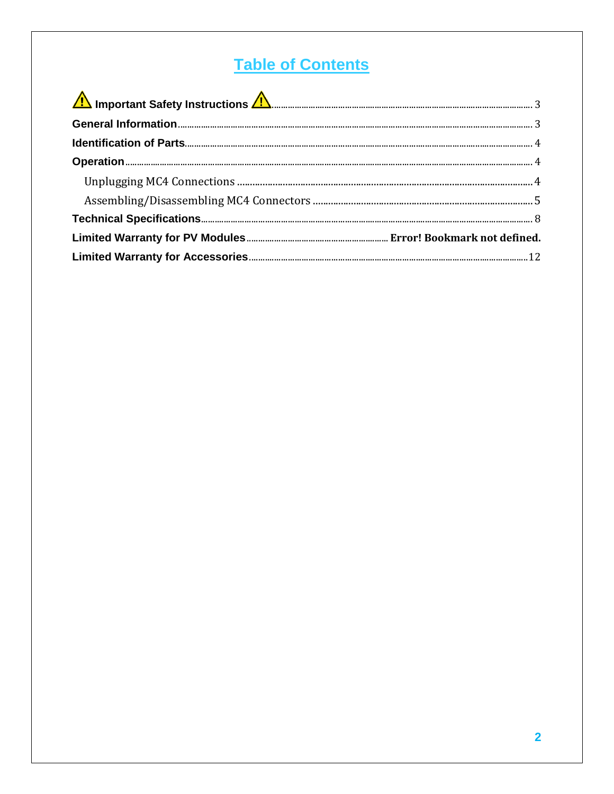# **Table of Contents**

| Important Safety Instructions 1. 2008. Entertainment and the United States of B. |  |
|----------------------------------------------------------------------------------|--|
|                                                                                  |  |
|                                                                                  |  |
|                                                                                  |  |
|                                                                                  |  |
|                                                                                  |  |
|                                                                                  |  |
|                                                                                  |  |
|                                                                                  |  |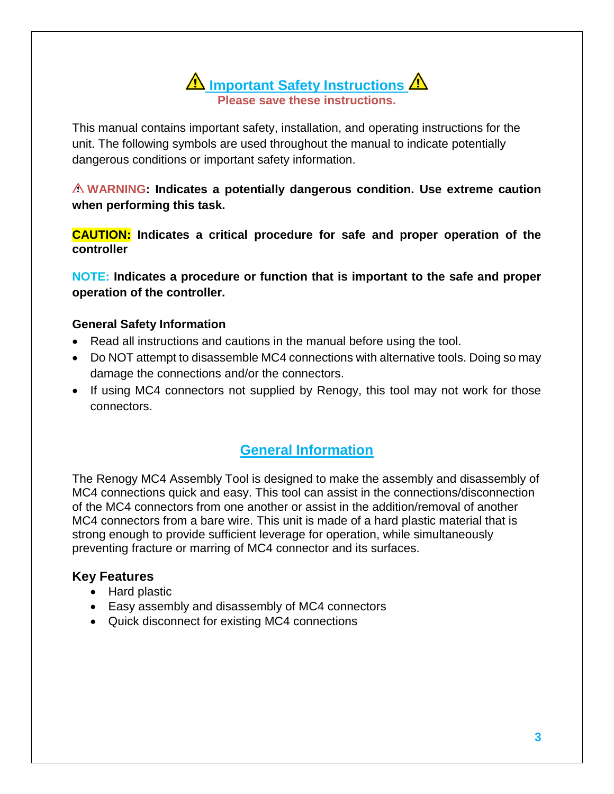**A** Important Safety Instructions **Please save these instructions.**

<span id="page-2-0"></span>This manual contains important safety, installation, and operating instructions for the unit. The following symbols are used throughout the manual to indicate potentially dangerous conditions or important safety information.

**WARNING: Indicates a potentially dangerous condition. Use extreme caution when performing this task.**

**CAUTION: Indicates a critical procedure for safe and proper operation of the controller**

**NOTE: Indicates a procedure or function that is important to the safe and proper operation of the controller.** 

#### **General Safety Information**

- Read all instructions and cautions in the manual before using the tool.
- Do NOT attempt to disassemble MC4 connections with alternative tools. Doing so may damage the connections and/or the connectors.
- If using MC4 connectors not supplied by Renogy, this tool may not work for those connectors.

### **General Information**

<span id="page-2-1"></span>The Renogy MC4 Assembly Tool is designed to make the assembly and disassembly of MC4 connections quick and easy. This tool can assist in the connections/disconnection of the MC4 connectors from one another or assist in the addition/removal of another MC4 connectors from a bare wire. This unit is made of a hard plastic material that is strong enough to provide sufficient leverage for operation, while simultaneously preventing fracture or marring of MC4 connector and its surfaces.

#### **Key Features**

- Hard plastic
- Easy assembly and disassembly of MC4 connectors
- Quick disconnect for existing MC4 connections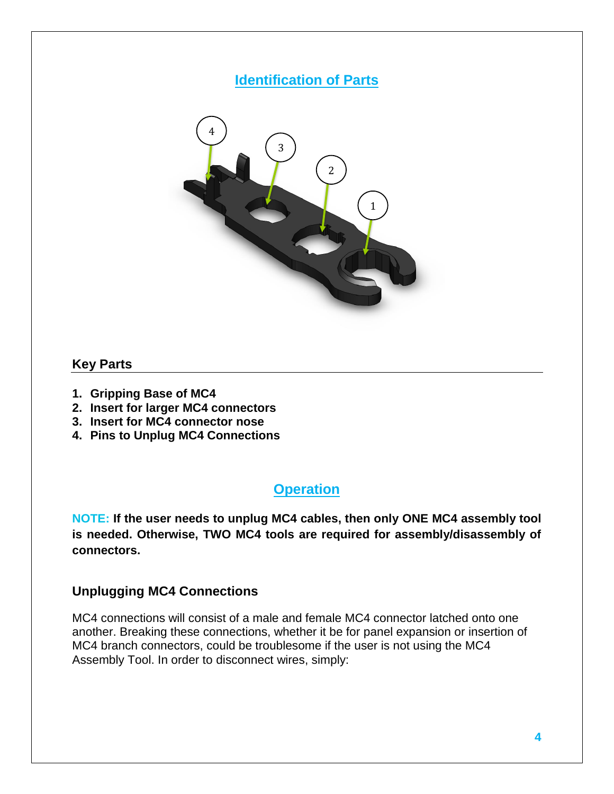## **Identification of Parts**

<span id="page-3-0"></span>

#### **Key Parts**

- **1. Gripping Base of MC4**
- **2. Insert for larger MC4 connectors**
- **3. Insert for MC4 connector nose**
- <span id="page-3-1"></span>**4. Pins to Unplug MC4 Connections**

#### **Operation**

**NOTE: If the user needs to unplug MC4 cables, then only ONE MC4 assembly tool is needed. Otherwise, TWO MC4 tools are required for assembly/disassembly of connectors.** 

#### <span id="page-3-2"></span>**Unplugging MC4 Connections**

MC4 connections will consist of a male and female MC4 connector latched onto one another. Breaking these connections, whether it be for panel expansion or insertion of MC4 branch connectors, could be troublesome if the user is not using the MC4 Assembly Tool. In order to disconnect wires, simply: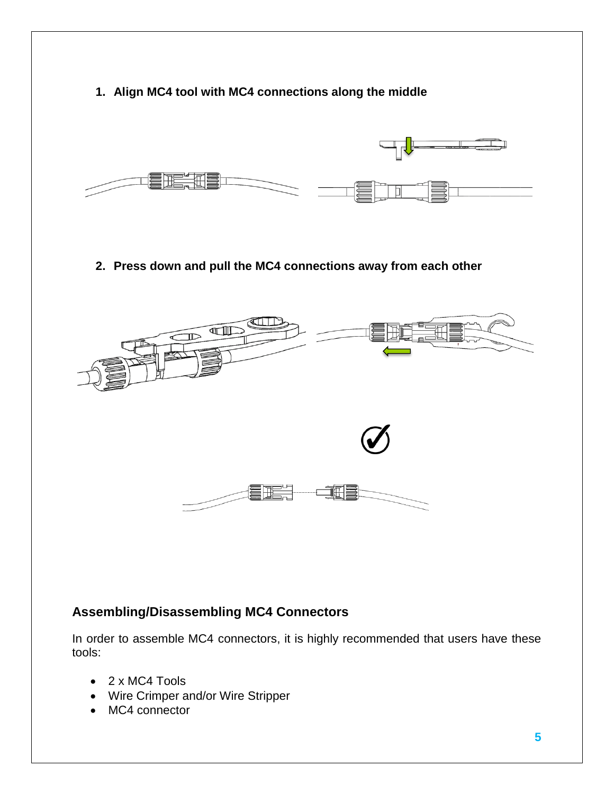# **1. Align MC4 tool with MC4 connections along the middle 2. Press down and pull the MC4 connections away from each other THE**

## <span id="page-4-0"></span>**Assembling/Disassembling MC4 Connectors**

In order to assemble MC4 connectors, it is highly recommended that users have these tools:

- 2 x MC4 Tools
- Wire Crimper and/or Wire Stripper
- MC4 connector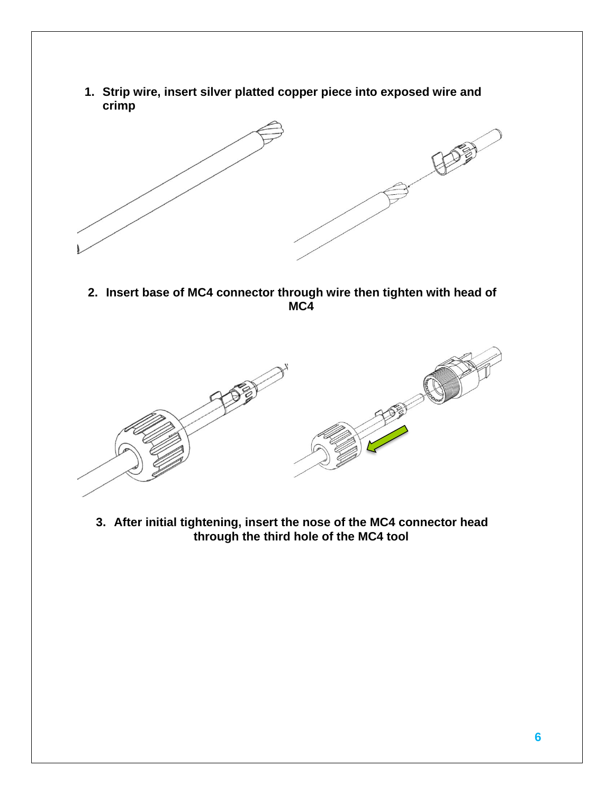**1. Strip wire, insert silver platted copper piece into exposed wire and crimp**



**2. Insert base of MC4 connector through wire then tighten with head of MC4**



**3. After initial tightening, insert the nose of the MC4 connector head through the third hole of the MC4 tool**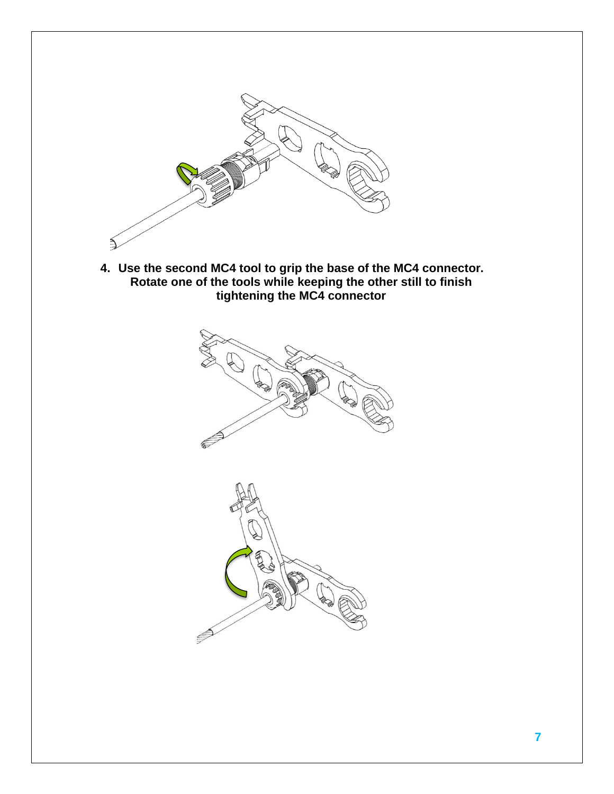

**4. Use the second MC4 tool to grip the base of the MC4 connector. Rotate one of the tools while keeping the other still to finish tightening the MC4 connector**